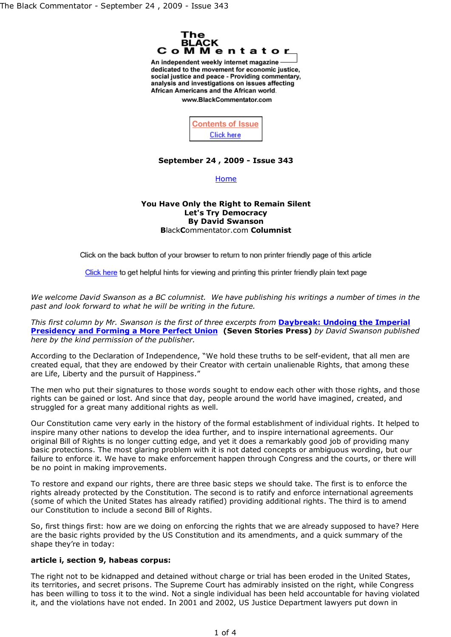

An independent weekly internet magazine dedicated to the movement for economic justice, social justice and peace - Providing commentary, analysis and investigations on issues affecting African Americans and the African world.

www.BlackCommentator.com



### **September 24 , 2009 - Issue 343**

Home

#### **You Have Only the Right to Remain Silent Let's Try Democracy By David Swanson B**lack**C**ommentator.com **Columnist**

Click on the back button of your browser to return to non printer friendly page of this article

Click here to get helpful hints for viewing and printing this printer friendly plain text page

*We welcome David Swanson as a BC columnist. We have publishing his writings a number of times in the past and look forward to what he will be writing in the future.*

*This first column by Mr. Swanson is the first of three excerpts from* **Daybreak: Undoing the Imperial Presidency and Forming a More Perfect Union (Seven Stories Press)** *by David Swanson published here by the kind permission of the publisher.*

According to the Declaration of Independence, "We hold these truths to be self-evident, that all men are created equal, that they are endowed by their Creator with certain unalienable Rights, that among these are Life, Liberty and the pursuit of Happiness."

The men who put their signatures to those words sought to endow each other with those rights, and those rights can be gained or lost. And since that day, people around the world have imagined, created, and struggled for a great many additional rights as well.

Our Constitution came very early in the history of the formal establishment of individual rights. It helped to inspire many other nations to develop the idea further, and to inspire international agreements. Our original Bill of Rights is no longer cutting edge, and yet it does a remarkably good job of providing many basic protections. The most glaring problem with it is not dated concepts or ambiguous wording, but our failure to enforce it. We have to make enforcement happen through Congress and the courts, or there will be no point in making improvements.

To restore and expand our rights, there are three basic steps we should take. The first is to enforce the rights already protected by the Constitution. The second is to ratify and enforce international agreements (some of which the United States has already ratified) providing additional rights. The third is to amend our Constitution to include a second Bill of Rights.

So, first things first: how are we doing on enforcing the rights that we are already supposed to have? Here are the basic rights provided by the US Constitution and its amendments, and a quick summary of the shape they're in today:

### **article i, section 9, habeas corpus:**

The right not to be kidnapped and detained without charge or trial has been eroded in the United States, its territories, and secret prisons. The Supreme Court has admirably insisted on the right, while Congress has been willing to toss it to the wind. Not a single individual has been held accountable for having violated it, and the violations have not ended. In 2001 and 2002, US Justice Department lawyers put down in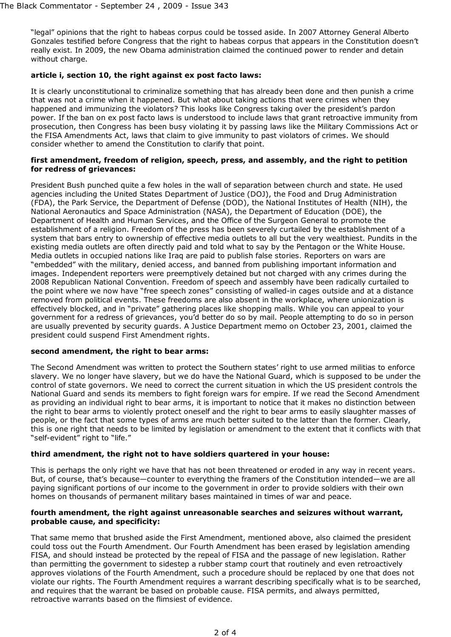"legal" opinions that the right to habeas corpus could be tossed aside. In 2007 Attorney General Alberto Gonzales testified before Congress that the right to habeas corpus that appears in the Constitution doesn't really exist. In 2009, the new Obama administration claimed the continued power to render and detain without charge.

# **article i, section 10, the right against ex post facto laws:**

It is clearly unconstitutional to criminalize something that has already been done and then punish a crime that was not a crime when it happened. But what about taking actions that were crimes when they happened and immunizing the violators? This looks like Congress taking over the president's pardon power. If the ban on ex post facto laws is understood to include laws that grant retroactive immunity from prosecution, then Congress has been busy violating it by passing laws like the Military Commissions Act or the FISA Amendments Act, laws that claim to give immunity to past violators of crimes. We should consider whether to amend the Constitution to clarify that point.

### **first amendment, freedom of religion, speech, press, and assembly, and the right to petition for redress of grievances:**

President Bush punched quite a few holes in the wall of separation between church and state. He used agencies including the United States Department of Justice (DOJ), the Food and Drug Administration (FDA), the Park Service, the Department of Defense (DOD), the National Institutes of Health (NIH), the National Aeronautics and Space Administration (NASA), the Department of Education (DOE), the Department of Health and Human Services, and the Office of the Surgeon General to promote the establishment of a religion. Freedom of the press has been severely curtailed by the establishment of a system that bars entry to ownership of effective media outlets to all but the very wealthiest. Pundits in the existing media outlets are often directly paid and told what to say by the Pentagon or the White House. Media outlets in occupied nations like Iraq are paid to publish false stories. Reporters on wars are "embedded" with the military, denied access, and banned from publishing important information and images. Independent reporters were preemptively detained but not charged with any crimes during the 2008 Republican National Convention. Freedom of speech and assembly have been radically curtailed to the point where we now have "free speech zones" consisting of walled-in cages outside and at a distance removed from political events. These freedoms are also absent in the workplace, where unionization is effectively blocked, and in "private" gathering places like shopping malls. While you can appeal to your government for a redress of grievances, you'd better do so by mail. People attempting to do so in person are usually prevented by security guards. A Justice Department memo on October 23, 2001, claimed the president could suspend First Amendment rights.

## **second amendment, the right to bear arms:**

The Second Amendment was written to protect the Southern states' right to use armed militias to enforce slavery. We no longer have slavery, but we do have the National Guard, which is supposed to be under the control of state governors. We need to correct the current situation in which the US president controls the National Guard and sends its members to fight foreign wars for empire. If we read the Second Amendment as providing an individual right to bear arms, it is important to notice that it makes no distinction between the right to bear arms to violently protect oneself and the right to bear arms to easily slaughter masses of people, or the fact that some types of arms are much better suited to the latter than the former. Clearly, this is one right that needs to be limited by legislation or amendment to the extent that it conflicts with that "self-evident" right to "life."

## **third amendment, the right not to have soldiers quartered in your house:**

This is perhaps the only right we have that has not been threatened or eroded in any way in recent years. But, of course, that's because—counter to everything the framers of the Constitution intended—we are all paying significant portions of our income to the government in order to provide soldiers with their own homes on thousands of permanent military bases maintained in times of war and peace.

## **fourth amendment, the right against unreasonable searches and seizures without warrant, probable cause, and specificity:**

That same memo that brushed aside the First Amendment, mentioned above, also claimed the president could toss out the Fourth Amendment. Our Fourth Amendment has been erased by legislation amending FISA, and should instead be protected by the repeal of FISA and the passage of new legislation. Rather than permitting the government to sidestep a rubber stamp court that routinely and even retroactively approves violations of the Fourth Amendment, such a procedure should be replaced by one that does not violate our rights. The Fourth Amendment requires a warrant describing specifically what is to be searched, and requires that the warrant be based on probable cause. FISA permits, and always permitted, retroactive warrants based on the flimsiest of evidence.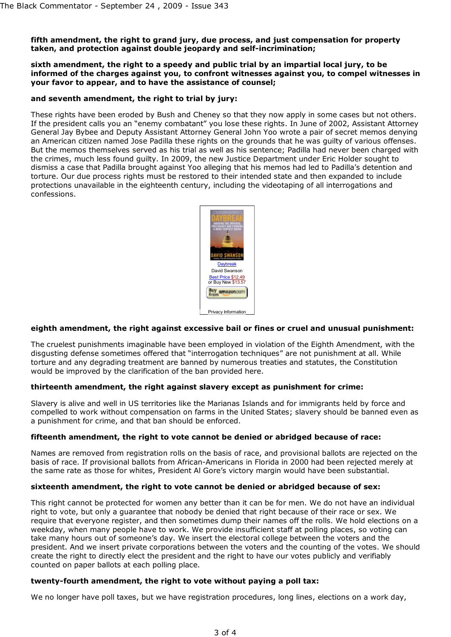**fifth amendment, the right to grand jury, due process, and just compensation for property taken, and protection against double jeopardy and self-incrimination;**

**sixth amendment, the right to a speedy and public trial by an impartial local jury, to be informed of the charges against you, to confront witnesses against you, to compel witnesses in your favor to appear, and to have the assistance of counsel;**

### **and seventh amendment, the right to trial by jury:**

These rights have been eroded by Bush and Cheney so that they now apply in some cases but not others. If the president calls you an "enemy combatant" you lose these rights. In June of 2002, Assistant Attorney General Jay Bybee and Deputy Assistant Attorney General John Yoo wrote a pair of secret memos denying an American citizen named Jose Padilla these rights on the grounds that he was guilty of various offenses. But the memos themselves served as his trial as well as his sentence; Padilla had never been charged with the crimes, much less found guilty. In 2009, the new Justice Department under Eric Holder sought to dismiss a case that Padilla brought against Yoo alleging that his memos had led to Padilla's detention and torture. Our due process rights must be restored to their intended state and then expanded to include protections unavailable in the eighteenth century, including the videotaping of all interrogations and confessions.



## **eighth amendment, the right against excessive bail or fines or cruel and unusual punishment:**

The cruelest punishments imaginable have been employed in violation of the Eighth Amendment, with the disgusting defense sometimes offered that "interrogation techniques" are not punishment at all. While torture and any degrading treatment are banned by numerous treaties and statutes, the Constitution would be improved by the clarification of the ban provided here.

## **thirteenth amendment, the right against slavery except as punishment for crime:**

Slavery is alive and well in US territories like the Marianas Islands and for immigrants held by force and compelled to work without compensation on farms in the United States; slavery should be banned even as a punishment for crime, and that ban should be enforced.

### **fifteenth amendment, the right to vote cannot be denied or abridged because of race:**

Names are removed from registration rolls on the basis of race, and provisional ballots are rejected on the basis of race. If provisional ballots from African-Americans in Florida in 2000 had been rejected merely at the same rate as those for whites, President Al Gore's victory margin would have been substantial.

### **sixteenth amendment, the right to vote cannot be denied or abridged because of sex:**

This right cannot be protected for women any better than it can be for men. We do not have an individual right to vote, but only a guarantee that nobody be denied that right because of their race or sex. We require that everyone register, and then sometimes dump their names off the rolls. We hold elections on a weekday, when many people have to work. We provide insufficient staff at polling places, so voting can take many hours out of someone's day. We insert the electoral college between the voters and the president. And we insert private corporations between the voters and the counting of the votes. We should create the right to directly elect the president and the right to have our votes publicly and verifiably counted on paper ballots at each polling place.

### **twenty-fourth amendment, the right to vote without paying a poll tax:**

We no longer have poll taxes, but we have registration procedures, long lines, elections on a work day,